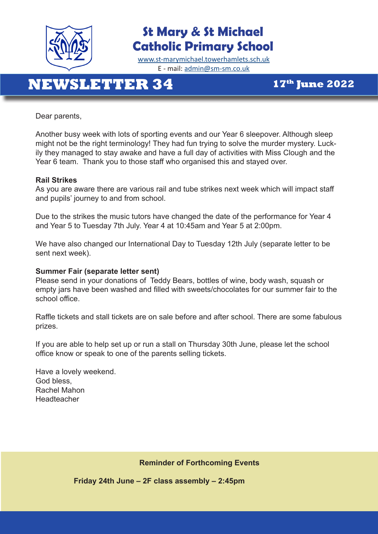

## **St Mary & St Michael Catholic Primary School**

[www.st-marymichael.towerhamlets.sch.uk](http://www.st-marymichael.towerhamlets.sch.uk)  E - mail: [admin@sm-sm.co.uk](http://admin@sm-sm.co.uk)

# **NEWSLETTER 34 17th June 2022**

Dear parents,

Another busy week with lots of sporting events and our Year 6 sleepover. Although sleep might not be the right terminology! They had fun trying to solve the murder mystery. Luckily they managed to stay awake and have a full day of activities with Miss Clough and the Year 6 team. Thank you to those staff who organised this and stayed over.

#### **Rail Strikes**

As you are aware there are various rail and tube strikes next week which will impact staff and pupils' journey to and from school.

Due to the strikes the music tutors have changed the date of the performance for Year 4 and Year 5 to Tuesday 7th July. Year 4 at 10:45am and Year 5 at 2:00pm.

We have also changed our International Day to Tuesday 12th July (separate letter to be sent next week).

#### **Summer Fair (separate letter sent)**

Please send in your donations of Teddy Bears, bottles of wine, body wash, squash or empty jars have been washed and filled with sweets/chocolates for our summer fair to the school office.

Raffle tickets and stall tickets are on sale before and after school. There are some fabulous prizes.

If you are able to help set up or run a stall on Thursday 30th June, please let the school office know or speak to one of the parents selling tickets.

Have a lovely weekend. God bless, Rachel Mahon Headteacher

**Reminder of Forthcoming Events**

**Friday 24th June – 2F class assembly – 2:45pm**